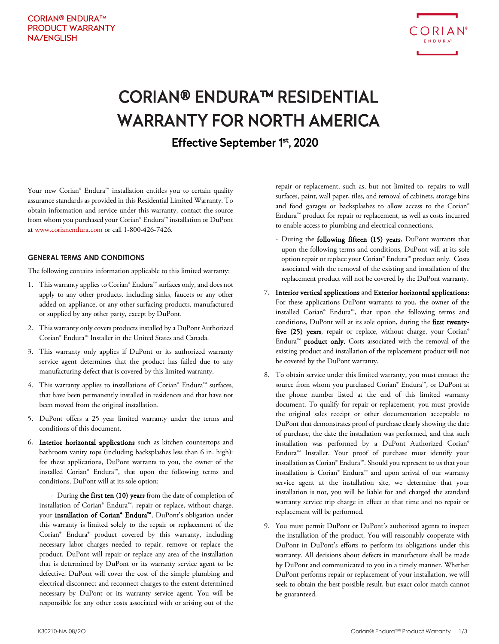

# CORIAN® ENDURA™ RESIDENTIAL WARRANTY FOR NORTH AMERICA Effective September 1st, 2020

Your new Corian® Endura™ installation entitles you to certain quality assurance standards as provided in this Residential Limited Warranty. To obtain information and service under this warranty, contact the source from whom you purchased your Corian® Endura™ installation or DuPont at www.corianendura.com or call 1-800-426-7426.

#### **GENERAL TERMS AND CONDITIONS**

The following contains information applicable to this limited warranty:

- 1. This warranty applies to Corian® Endura™ surfaces only, and does not apply to any other products, including sinks, faucets or any other added on appliance, or any other surfacing products, manufactured or supplied by any other party, except by DuPont.
- 2. This warranty only covers products installed by a DuPont Authorized Corian® Endura™ Installer in the United States and Canada.
- 3. This warranty only applies if DuPont or its authorized warranty service agent determines that the product has failed due to any manufacturing defect that is covered by this limited warranty.
- 4. This warranty applies to installations of Corian® Endura™ surfaces, that have been permanently installed in residences and that have not been moved from the original installation.
- 5. DuPont offers a 25 year limited warranty under the terms and conditions of this document.
- 6. Interior horizontal applications such as kitchen countertops and bathroom vanity tops (including backsplashes less than 6 in. high): for these applications, DuPont warrants to you, the owner of the installed Corian® Endura™, that upon the following terms and conditions, DuPont will at its sole option:

- During the first ten (10) years from the date of completion of installation of Corian® Endura™, repair or replace, without charge, your installation of Corian® Endura™. DuPont's obligation under this warranty is limited solely to the repair or replacement of the Corian® Endura® product covered by this warranty, including necessary labor charges needed to repair, remove or replace the product. DuPont will repair or replace any area of the installation that is determined by DuPont or its warranty service agent to be defective. DuPont will cover the cost of the simple plumbing and electrical disconnect and reconnect charges to the extent determined necessary by DuPont or its warranty service agent. You will be responsible for any other costs associated with or arising out of the

repair or replacement, such as, but not limited to, repairs to wall surfaces, paint, wall paper, tiles, and removal of cabinets, storage bins and food garages or backsplashes to allow access to the Corian® Endura™ product for repair or replacement, as well as costs incurred to enable access to plumbing and electrical connections.

- During the following fifteen (15) years, DuPont warrants that upon the following terms and conditions, DuPont will at its sole option repair or replace your Corian® Endura™ product only. Costs associated with the removal of the existing and installation of the replacement product will not be covered by the DuPont warranty.
- 7. Interior vertical applications and Exterior horizontal applications: For these applications DuPont warrants to you, the owner of the installed Corian® Endura™, that upon the following terms and conditions, DuPont will at its sole option, during the first twentyfive (25) years, repair or replace, without charge, your Corian® Endura™ product only. Costs associated with the removal of the existing product and installation of the replacement product will not be covered by the DuPont warranty.
- 8. To obtain service under this limited warranty, you must contact the source from whom you purchased Corian® Endura™, or DuPont at the phone number listed at the end of this limited warranty document. To qualify for repair or replacement, you must provide the original sales receipt or other documentation acceptable to DuPont that demonstrates proof of purchase clearly showing the date of purchase, the date the installation was performed, and that such installation was performed by a DuPont Authorized Corian® Endura™ Installer. Your proof of purchase must identify your installation as Corian® Endura™. Should you represent to us that your installation is Corian® Endura™ and upon arrival of our warranty service agent at the installation site, we determine that your installation is not, you will be liable for and charged the standard warranty service trip charge in effect at that time and no repair or replacement will be performed.
- 9. You must permit DuPont or DuPont's authorized agents to inspect the installation of the product. You will reasonably cooperate with DuPont in DuPont's efforts to perform its obligations under this warranty. All decisions about defects in manufacture shall be made by DuPont and communicated to you in a timely manner. Whether DuPont performs repair or replacement of your installation, we will seek to obtain the best possible result, but exact color match cannot be guaranteed.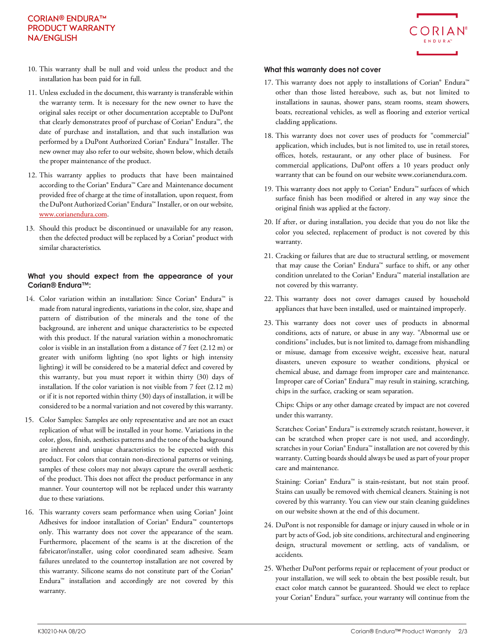## CORIAN® ENDURA™ PRODUCT WARRANTY NA/ENGLISH



- 10. This warranty shall be null and void unless the product and the installation has been paid for in full.
- 11. Unless excluded in the document, this warranty is transferable within the warranty term. It is necessary for the new owner to have the original sales receipt or other documentation acceptable to DuPont that clearly demonstrates proof of purchase of Corian® Endura™, the date of purchase and installation, and that such installation was performed by a DuPont Authorized Corian® Endura™ Installer. The new owner may also refer to our website, shown below, which details the proper maintenance of the product.
- 12. This warranty applies to products that have been maintained according to the Corian® Endura™ Care and Maintenance document provided free of charge at the time of installation, upon request, from the DuPont Authorized Corian® Endura™ Installer, or on our website, [www.corianendura.com.](http://www.corianendura.com/)
- 13. Should this product be discontinued or unavailable for any reason, then the defected product will be replaced by a Corian® product with similar characteristics.

## **What you should expect from the appearance of your Corian® Endura™:**

- 14. Color variation within an installation: Since Corian® Endura™ is made from natural ingredients, variations in the color, size, shape and pattern of distribution of the minerals and the tone of the background, are inherent and unique characteristics to be expected with this product. If the natural variation within a monochromatic color is visible in an installation from a distance of 7 feet (2.12 m) or greater with uniform lighting (no spot lights or high intensity lighting) it will be considered to be a material defect and covered by this warranty, but you must report it within thirty (30) days of installation. If the color variation is not visible from 7 feet (2.12 m) or if it is not reported within thirty (30) days of installation, it will be considered to be a normal variation and not covered by this warranty.
- 15. Color Samples: Samples are only representative and are not an exact replication of what will be installed in your home. Variations in the color, gloss, finish, aesthetics patterns and the tone of the background are inherent and unique characteristics to be expected with this product. For colors that contain non-directional patterns or veining, samples of these colors may not always capture the overall aesthetic of the product. This does not affect the product performance in any manner. Your countertop will not be replaced under this warranty due to these variations.
- 16. This warranty covers seam performance when using Corian® Joint Adhesives for indoor installation of Corian® Endura™ countertops only. This warranty does not cover the appearance of the seam. Furthermore, placement of the seams is at the discretion of the fabricator/installer, using color coordinated seam adhesive. Seam failures unrelated to the countertop installation are not covered by this warranty. Silicone seams do not constitute part of the Corian® Endura™ installation and accordingly are not covered by this warranty.

## **What this warranty does not cover**

- 17. This warranty does not apply to installations of Corian® Endura™ other than those listed hereabove, such as, but not limited to installations in saunas, shower pans, steam rooms, steam showers, boats, recreational vehicles, as well as flooring and exterior vertical cladding applications.
- 18. This warranty does not cover uses of products for "commercial" application, which includes, but is not limited to, use in retail stores, offices, hotels, restaurant, or any other place of business. For commercial applications, DuPont offers a 10 years product only warranty that can be found on our website www.corianendura.com.
- 19. This warranty does not apply to Corian® Endura™ surfaces of which surface finish has been modified or altered in any way since the original finish was applied at the factory.
- 20. If after, or during installation, you decide that you do not like the color you selected, replacement of product is not covered by this warranty.
- 21. Cracking or failures that are due to structural settling, or movement that may cause the Corian® Endura™ surface to shift, or any other condition unrelated to the Corian® Endura™ material installation are not covered by this warranty.
- 22. This warranty does not cover damages caused by household appliances that have been installed, used or maintained improperly.
- 23. This warranty does not cover uses of products in abnormal conditions, acts of nature, or abuse in any way. "Abnormal use or conditions" includes, but is not limited to, damage from mishandling or misuse, damage from excessive weight, excessive heat, natural disasters, uneven exposure to weather conditions, physical or chemical abuse, and damage from improper care and maintenance. Improper care of Corian® Endura™ may result in staining, scratching, chips in the surface, cracking or seam separation.

Chips: Chips or any other damage created by impact are not covered under this warranty.

Scratches: Corian® Endura™ is extremely scratch resistant, however, it can be scratched when proper care is not used, and accordingly, scratches in your Corian® Endura™ installation are not covered by this warranty. Cutting boards should always be used as part of your proper care and maintenance.

Staining: Corian® Endura™ is stain-resistant, but not stain proof. Stains can usually be removed with chemical cleaners. Staining is not covered by this warranty. You can view our stain cleaning guidelines on our website shown at the end of this document.

- 24. DuPont is not responsible for damage or injury caused in whole or in part by acts of God, job site conditions, architectural and engineering design, structural movement or settling, acts of vandalism, or accidents.
- 25. Whether DuPont performs repair or replacement of your product or your installation, we will seek to obtain the best possible result, but exact color match cannot be guaranteed. Should we elect to replace your Corian® Endura™ surface, your warranty will continue from the